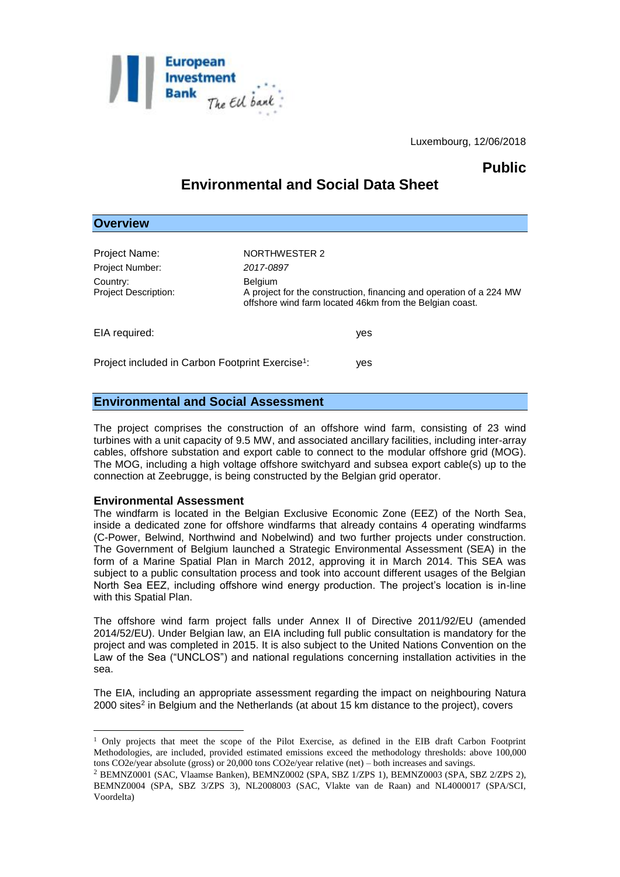

Luxembourg, 12/06/2018

## **Public**

# **Environmental and Social Data Sheet**

## **Overview**

| Project Name:                                                | NORTHWESTER 2                                                                                                                                    |
|--------------------------------------------------------------|--------------------------------------------------------------------------------------------------------------------------------------------------|
| <b>Project Number:</b>                                       | 2017-0897                                                                                                                                        |
| Country:<br>Project Description:                             | <b>Belgium</b><br>A project for the construction, financing and operation of a 224 MW<br>offshore wind farm located 46km from the Belgian coast. |
| EIA required:                                                | yes                                                                                                                                              |
| Project included in Carbon Footprint Exercise <sup>1</sup> : | ves                                                                                                                                              |

## **Environmental and Social Assessment**

The project comprises the construction of an offshore wind farm, consisting of 23 wind turbines with a unit capacity of 9.5 MW, and associated ancillary facilities, including inter-array cables, offshore substation and export cable to connect to the modular offshore grid (MOG). The MOG, including a high voltage offshore switchyard and subsea export cable(s) up to the connection at Zeebrugge, is being constructed by the Belgian grid operator.

## **Environmental Assessment**

<u>.</u>

The windfarm is located in the Belgian Exclusive Economic Zone (EEZ) of the North Sea, inside a dedicated zone for offshore windfarms that already contains 4 operating windfarms (C-Power, Belwind, Northwind and Nobelwind) and two further projects under construction. The Government of Belgium launched a Strategic Environmental Assessment (SEA) in the form of a Marine Spatial Plan in March 2012, approving it in March 2014. This SEA was subject to a public consultation process and took into account different usages of the Belgian North Sea EEZ, including offshore wind energy production. The project's location is in-line with this Spatial Plan.

The offshore wind farm project falls under Annex II of Directive 2011/92/EU (amended 2014/52/EU). Under Belgian law, an EIA including full public consultation is mandatory for the project and was completed in 2015. It is also subject to the United Nations Convention on the Law of the Sea ("UNCLOS") and national regulations concerning installation activities in the sea.

The EIA, including an appropriate assessment regarding the impact on neighbouring Natura 2000 sites<sup>2</sup> in Belgium and the Netherlands (at about 15 km distance to the project), covers

<sup>&</sup>lt;sup>1</sup> Only projects that meet the scope of the Pilot Exercise, as defined in the EIB draft Carbon Footprint Methodologies, are included, provided estimated emissions exceed the methodology thresholds: above 100,000 tons CO2e/year absolute (gross) or 20,000 tons CO2e/year relative (net) – both increases and savings.

<sup>2</sup> BEMNZ0001 (SAC, Vlaamse Banken), BEMNZ0002 (SPA, SBZ 1/ZPS 1), BEMNZ0003 (SPA, SBZ 2/ZPS 2), BEMNZ0004 (SPA, SBZ 3/ZPS 3), NL2008003 (SAC, Vlakte van de Raan) and NL4000017 (SPA/SCI, Voordelta)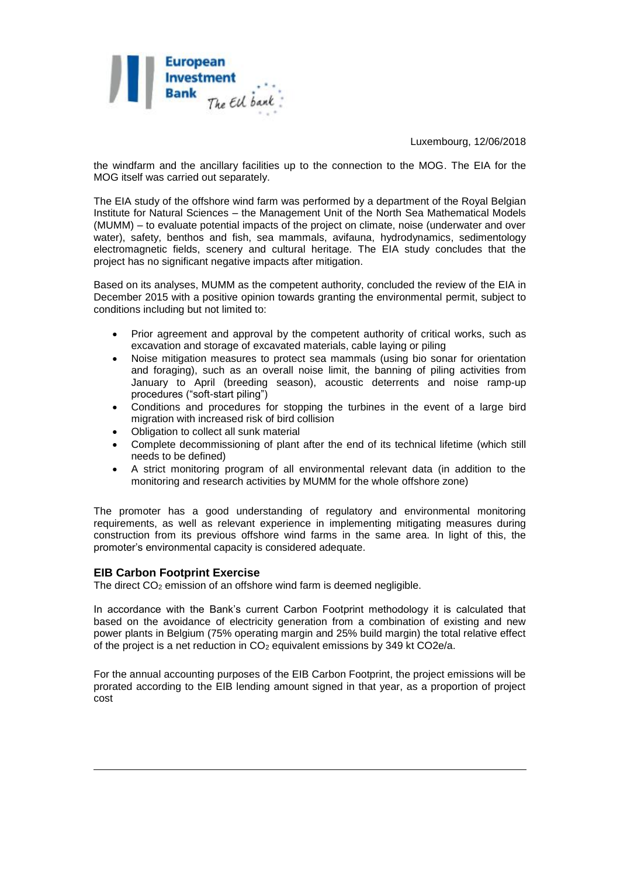

Luxembourg, 12/06/2018

the windfarm and the ancillary facilities up to the connection to the MOG. The EIA for the MOG itself was carried out separately.

The EIA study of the offshore wind farm was performed by a department of the Royal Belgian Institute for Natural Sciences – the Management Unit of the North Sea Mathematical Models (MUMM) – to evaluate potential impacts of the project on climate, noise (underwater and over water), safety, benthos and fish, sea mammals, avifauna, hydrodynamics, sedimentology electromagnetic fields, scenery and cultural heritage. The EIA study concludes that the project has no significant negative impacts after mitigation.

Based on its analyses, MUMM as the competent authority, concluded the review of the EIA in December 2015 with a positive opinion towards granting the environmental permit, subject to conditions including but not limited to:

- Prior agreement and approval by the competent authority of critical works, such as excavation and storage of excavated materials, cable laying or piling
- Noise mitigation measures to protect sea mammals (using bio sonar for orientation and foraging), such as an overall noise limit, the banning of piling activities from January to April (breeding season), acoustic deterrents and noise ramp-up procedures ("soft-start piling")
- Conditions and procedures for stopping the turbines in the event of a large bird migration with increased risk of bird collision
- Obligation to collect all sunk material
- Complete decommissioning of plant after the end of its technical lifetime (which still needs to be defined)
- A strict monitoring program of all environmental relevant data (in addition to the monitoring and research activities by MUMM for the whole offshore zone)

The promoter has a good understanding of regulatory and environmental monitoring requirements, as well as relevant experience in implementing mitigating measures during construction from its previous offshore wind farms in the same area. In light of this, the promoter's environmental capacity is considered adequate.

## **EIB Carbon Footprint Exercise**

<u>.</u>

The direct CO<sub>2</sub> emission of an offshore wind farm is deemed negligible.

In accordance with the Bank's current Carbon Footprint methodology it is calculated that based on the avoidance of electricity generation from a combination of existing and new power plants in Belgium (75% operating margin and 25% build margin) the total relative effect of the project is a net reduction in  $CO<sub>2</sub>$  equivalent emissions by 349 kt CO2e/a.

For the annual accounting purposes of the EIB Carbon Footprint, the project emissions will be prorated according to the EIB lending amount signed in that year, as a proportion of project cost